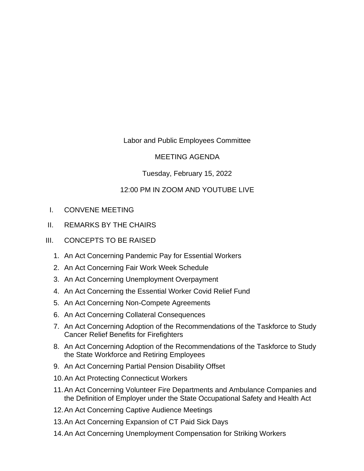## Labor and Public Employees Committee

## MEETING AGENDA

## Tuesday, February 15, 2022

## 12:00 PM IN ZOOM AND YOUTUBE LIVE

- I. CONVENE MEETING
- II. REMARKS BY THE CHAIRS
- III. CONCEPTS TO BE RAISED
	- 1. An Act Concerning Pandemic Pay for Essential Workers
	- 2. An Act Concerning Fair Work Week Schedule
	- 3. An Act Concerning Unemployment Overpayment
	- 4. An Act Concerning the Essential Worker Covid Relief Fund
	- 5. An Act Concerning Non-Compete Agreements
	- 6. An Act Concerning Collateral Consequences
	- 7. An Act Concerning Adoption of the Recommendations of the Taskforce to Study Cancer Relief Benefits for Firefighters
	- 8. An Act Concerning Adoption of the Recommendations of the Taskforce to Study the State Workforce and Retiring Employees
	- 9. An Act Concerning Partial Pension Disability Offset
	- 10.An Act Protecting Connecticut Workers
	- 11.An Act Concerning Volunteer Fire Departments and Ambulance Companies and the Definition of Employer under the State Occupational Safety and Health Act
	- 12.An Act Concerning Captive Audience Meetings
	- 13.An Act Concerning Expansion of CT Paid Sick Days
	- 14.An Act Concerning Unemployment Compensation for Striking Workers